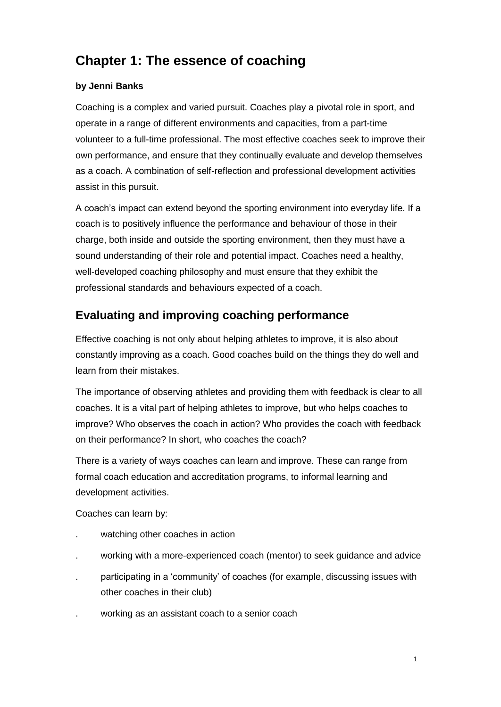# **Chapter 1: The essence of coaching**

# **by Jenni Banks**

Coaching is a complex and varied pursuit. Coaches play a pivotal role in sport, and operate in a range of different environments and capacities, from a part-time volunteer to a full-time professional. The most effective coaches seek to improve their own performance, and ensure that they continually evaluate and develop themselves as a coach. A combination of self-reflection and professional development activities assist in this pursuit.

A coach's impact can extend beyond the sporting environment into everyday life. If a coach is to positively influence the performance and behaviour of those in their charge, both inside and outside the sporting environment, then they must have a sound understanding of their role and potential impact. Coaches need a healthy, well-developed coaching philosophy and must ensure that they exhibit the professional standards and behaviours expected of a coach.

# **Evaluating and improving coaching performance**

Effective coaching is not only about helping athletes to improve, it is also about constantly improving as a coach. Good coaches build on the things they do well and learn from their mistakes.

The importance of observing athletes and providing them with feedback is clear to all coaches. It is a vital part of helping athletes to improve, but who helps coaches to improve? Who observes the coach in action? Who provides the coach with feedback on their performance? In short, who coaches the coach?

There is a variety of ways coaches can learn and improve. These can range from formal coach education and accreditation programs, to informal learning and development activities.

Coaches can learn by:

- watching other coaches in action
- . working with a more-experienced coach (mentor) to seek guidance and advice
- . participating in a 'community' of coaches (for example, discussing issues with other coaches in their club)
- . working as an assistant coach to a senior coach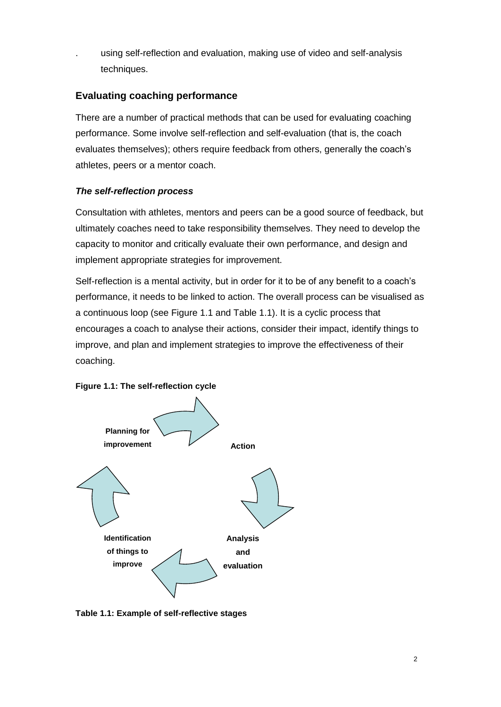. using self-reflection and evaluation, making use of video and self-analysis techniques.

# **Evaluating coaching performance**

There are a number of practical methods that can be used for evaluating coaching performance. Some involve self-reflection and self-evaluation (that is, the coach evaluates themselves); others require feedback from others, generally the coach's athletes, peers or a mentor coach.

# *The self-reflection process*

Consultation with athletes, mentors and peers can be a good source of feedback, but ultimately coaches need to take responsibility themselves. They need to develop the capacity to monitor and critically evaluate their own performance, and design and implement appropriate strategies for improvement.

Self-reflection is a mental activity, but in order for it to be of any benefit to a coach's performance, it needs to be linked to action. The overall process can be visualised as a continuous loop (see Figure 1.1 and Table 1.1). It is a cyclic process that encourages a coach to analyse their actions, consider their impact, identify things to improve, and plan and implement strategies to improve the effectiveness of their coaching.





**Table 1.1: Example of self-reflective stages**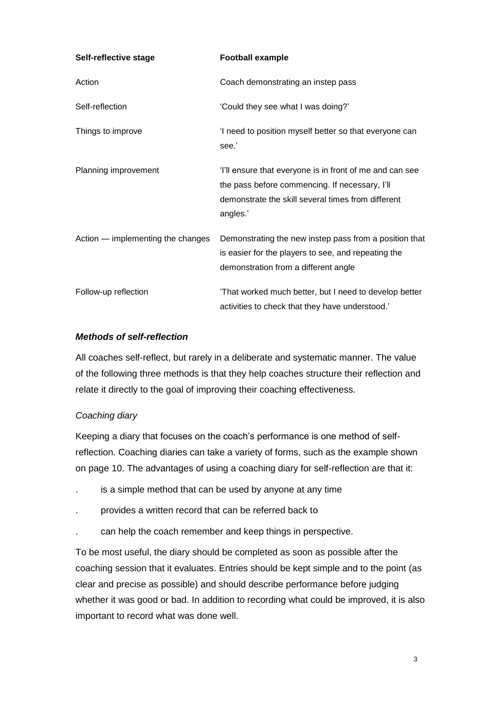| Self-reflective stage             | <b>Football example</b>                                                                                                                                                      |
|-----------------------------------|------------------------------------------------------------------------------------------------------------------------------------------------------------------------------|
| Action                            | Coach demonstrating an instep pass                                                                                                                                           |
| Self-reflection                   | 'Could they see what I was doing?'                                                                                                                                           |
| Things to improve                 | 'I need to position myself better so that everyone can<br>see.'                                                                                                              |
| Planning improvement              | 'I'll ensure that everyone is in front of me and can see<br>the pass before commencing. If necessary, I'll<br>demonstrate the skill several times from different<br>angles.' |
| Action — implementing the changes | Demonstrating the new instep pass from a position that<br>is easier for the players to see, and repeating the<br>demonstration from a different angle                        |
| Follow-up reflection              | 'That worked much better, but I need to develop better<br>activities to check that they have understood.                                                                     |

# *Methods of self-reflection*

All coaches self-reflect, but rarely in a deliberate and systematic manner. The value of the following three methods is that they help coaches structure their reflection and relate it directly to the goal of improving their coaching effectiveness.

# *Coaching diary*

Keeping a diary that focuses on the coach's performance is one method of selfreflection. Coaching diaries can take a variety of forms, such as the example shown on page 10. The advantages of using a coaching diary for self-reflection are that it:

- is a simple method that can be used by anyone at any time
- . provides a written record that can be referred back to
- . can help the coach remember and keep things in perspective.

To be most useful, the diary should be completed as soon as possible after the coaching session that it evaluates. Entries should be kept simple and to the point (as clear and precise as possible) and should describe performance before judging whether it was good or bad. In addition to recording what could be improved, it is also important to record what was done well.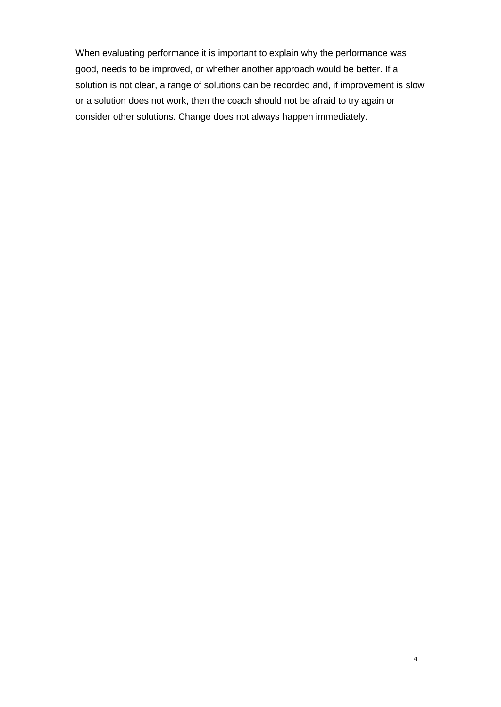When evaluating performance it is important to explain why the performance was good, needs to be improved, or whether another approach would be better. If a solution is not clear, a range of solutions can be recorded and, if improvement is slow or a solution does not work, then the coach should not be afraid to try again or consider other solutions. Change does not always happen immediately.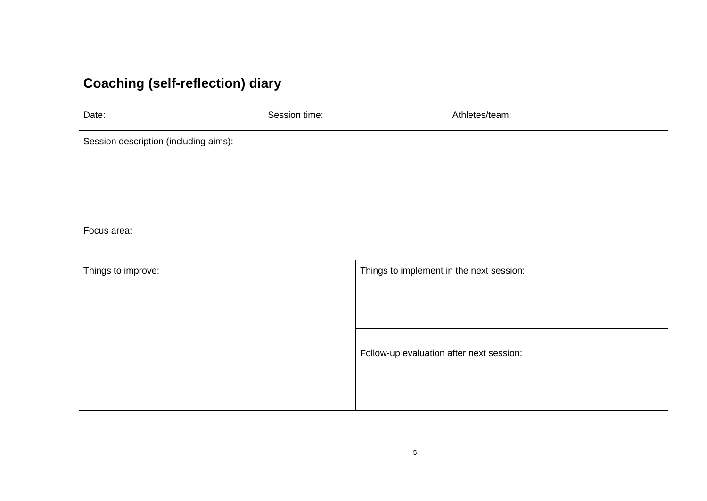# **Coaching (self-reflection) diary**

| Date:                                 | Session time: |                                          | Athletes/team: |
|---------------------------------------|---------------|------------------------------------------|----------------|
| Session description (including aims): |               |                                          |                |
|                                       |               |                                          |                |
|                                       |               |                                          |                |
|                                       |               |                                          |                |
| Focus area:                           |               |                                          |                |
|                                       |               |                                          |                |
| Things to improve:                    |               | Things to implement in the next session: |                |
|                                       |               |                                          |                |
|                                       |               |                                          |                |
|                                       |               | Follow-up evaluation after next session: |                |
|                                       |               |                                          |                |
|                                       |               |                                          |                |
|                                       |               |                                          |                |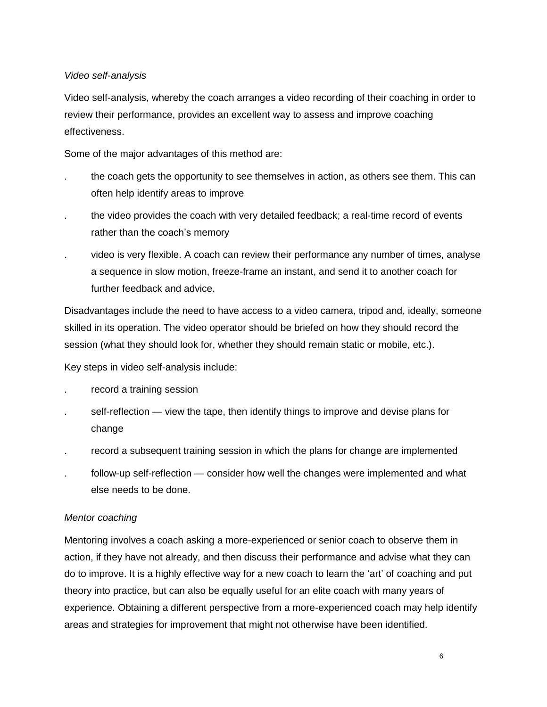#### *Video self-analysis*

Video self-analysis, whereby the coach arranges a video recording of their coaching in order to review their performance, provides an excellent way to assess and improve coaching effectiveness.

Some of the major advantages of this method are:

- . the coach gets the opportunity to see themselves in action, as others see them. This can often help identify areas to improve
- the video provides the coach with very detailed feedback; a real-time record of events rather than the coach's memory
- . video is very flexible. A coach can review their performance any number of times, analyse a sequence in slow motion, freeze-frame an instant, and send it to another coach for further feedback and advice.

Disadvantages include the need to have access to a video camera, tripod and, ideally, someone skilled in its operation. The video operator should be briefed on how they should record the session (what they should look for, whether they should remain static or mobile, etc.).

Key steps in video self-analysis include:

- . record a training session
- self-reflection view the tape, then identify things to improve and devise plans for change
- . record a subsequent training session in which the plans for change are implemented
- . follow-up self-reflection consider how well the changes were implemented and what else needs to be done.

#### *Mentor coaching*

Mentoring involves a coach asking a more-experienced or senior coach to observe them in action, if they have not already, and then discuss their performance and advise what they can do to improve. It is a highly effective way for a new coach to learn the 'art' of coaching and put theory into practice, but can also be equally useful for an elite coach with many years of experience. Obtaining a different perspective from a more-experienced coach may help identify areas and strategies for improvement that might not otherwise have been identified.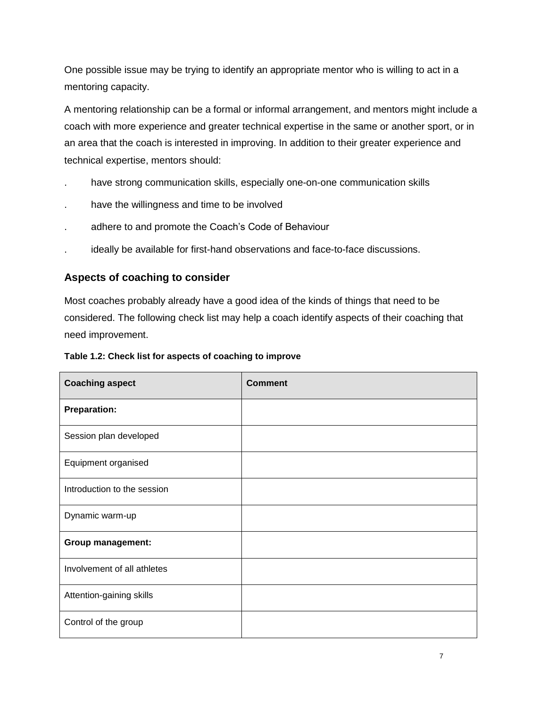One possible issue may be trying to identify an appropriate mentor who is willing to act in a mentoring capacity.

A mentoring relationship can be a formal or informal arrangement, and mentors might include a coach with more experience and greater technical expertise in the same or another sport, or in an area that the coach is interested in improving. In addition to their greater experience and technical expertise, mentors should:

- . have strong communication skills, especially one-on-one communication skills
- . have the willingness and time to be involved
- . adhere to and promote the Coach's Code of Behaviour
- . ideally be available for first-hand observations and face-to-face discussions.

# **Aspects of coaching to consider**

Most coaches probably already have a good idea of the kinds of things that need to be considered. The following check list may help a coach identify aspects of their coaching that need improvement.

|  |  | Table 1.2: Check list for aspects of coaching to improve |
|--|--|----------------------------------------------------------|
|--|--|----------------------------------------------------------|

| <b>Coaching aspect</b>      | <b>Comment</b> |
|-----------------------------|----------------|
| <b>Preparation:</b>         |                |
| Session plan developed      |                |
| Equipment organised         |                |
| Introduction to the session |                |
| Dynamic warm-up             |                |
| <b>Group management:</b>    |                |
| Involvement of all athletes |                |
| Attention-gaining skills    |                |
| Control of the group        |                |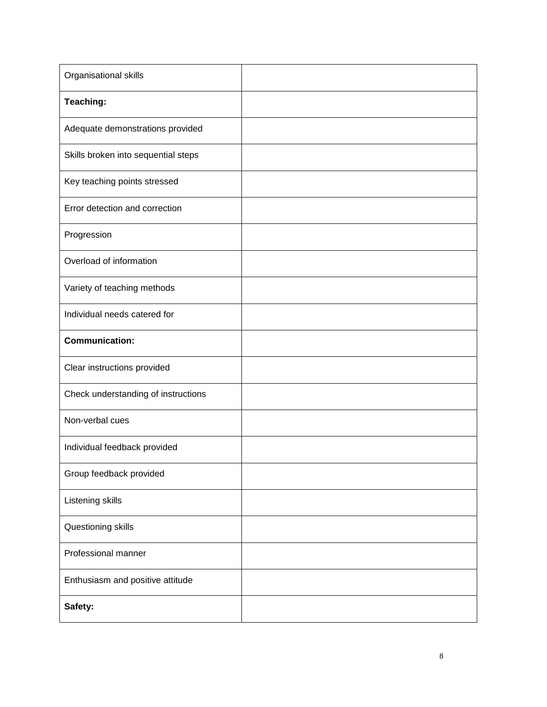| Organisational skills               |  |
|-------------------------------------|--|
| Teaching:                           |  |
| Adequate demonstrations provided    |  |
| Skills broken into sequential steps |  |
| Key teaching points stressed        |  |
| Error detection and correction      |  |
| Progression                         |  |
| Overload of information             |  |
| Variety of teaching methods         |  |
| Individual needs catered for        |  |
| <b>Communication:</b>               |  |
| Clear instructions provided         |  |
| Check understanding of instructions |  |
| Non-verbal cues                     |  |
| Individual feedback provided        |  |
| Group feedback provided             |  |
| Listening skills                    |  |
| Questioning skills                  |  |
| Professional manner                 |  |
| Enthusiasm and positive attitude    |  |
| Safety:                             |  |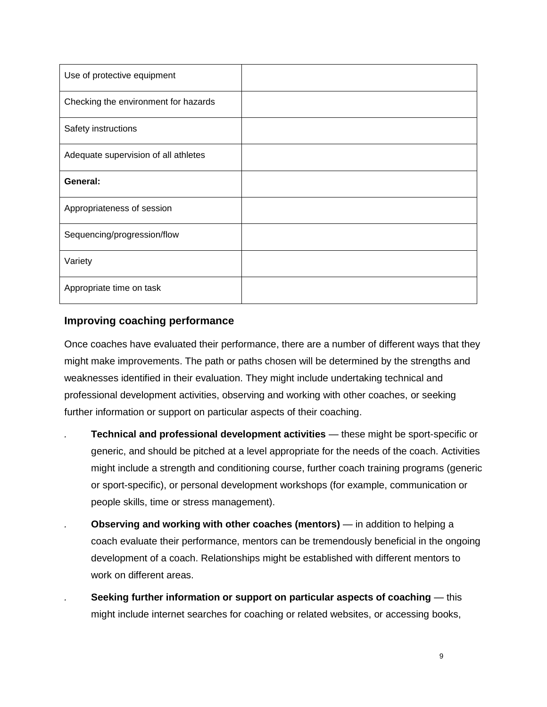| Use of protective equipment          |  |
|--------------------------------------|--|
| Checking the environment for hazards |  |
| Safety instructions                  |  |
| Adequate supervision of all athletes |  |
| General:                             |  |
| Appropriateness of session           |  |
| Sequencing/progression/flow          |  |
| Variety                              |  |
| Appropriate time on task             |  |

# **Improving coaching performance**

Once coaches have evaluated their performance, there are a number of different ways that they might make improvements. The path or paths chosen will be determined by the strengths and weaknesses identified in their evaluation. They might include undertaking technical and professional development activities, observing and working with other coaches, or seeking further information or support on particular aspects of their coaching.

- *.* **Technical and professional development activities** these might be sport-specific or generic, and should be pitched at a level appropriate for the needs of the coach. Activities might include a strength and conditioning course, further coach training programs (generic or sport-specific), or personal development workshops (for example, communication or people skills, time or stress management).
- *.* **Observing and working with other coaches (mentors)** in addition to helping a coach evaluate their performance, mentors can be tremendously beneficial in the ongoing development of a coach. Relationships might be established with different mentors to work on different areas.
- *.* **Seeking further information or support on particular aspects of coaching** this might include internet searches for coaching or related websites, or accessing books,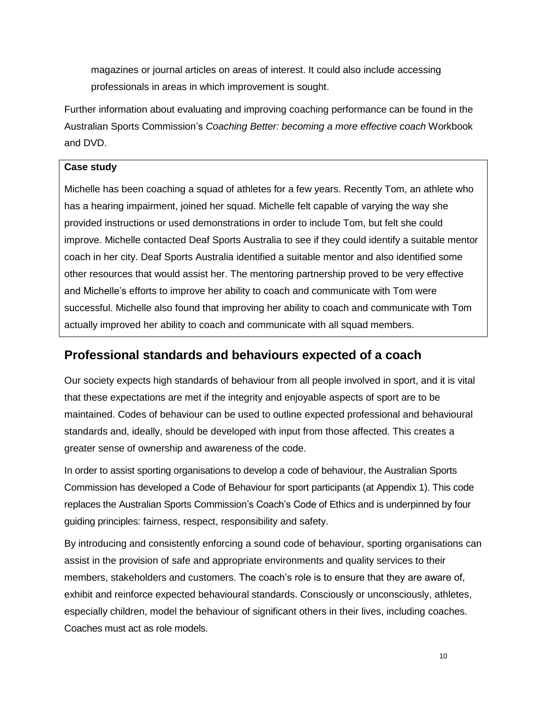magazines or journal articles on areas of interest. It could also include accessing professionals in areas in which improvement is sought.

Further information about evaluating and improving coaching performance can be found in the Australian Sports Commission's *Coaching Better: becoming a more effective coach* Workbook and DVD.

#### **Case study**

Michelle has been coaching a squad of athletes for a few years. Recently Tom, an athlete who has a hearing impairment, joined her squad. Michelle felt capable of varying the way she provided instructions or used demonstrations in order to include Tom, but felt she could improve. Michelle contacted Deaf Sports Australia to see if they could identify a suitable mentor coach in her city. Deaf Sports Australia identified a suitable mentor and also identified some other resources that would assist her. The mentoring partnership proved to be very effective and Michelle's efforts to improve her ability to coach and communicate with Tom were successful. Michelle also found that improving her ability to coach and communicate with Tom actually improved her ability to coach and communicate with all squad members.

# **Professional standards and behaviours expected of a coach**

Our society expects high standards of behaviour from all people involved in sport, and it is vital that these expectations are met if the integrity and enjoyable aspects of sport are to be maintained. Codes of behaviour can be used to outline expected professional and behavioural standards and, ideally, should be developed with input from those affected. This creates a greater sense of ownership and awareness of the code.

In order to assist sporting organisations to develop a code of behaviour, the Australian Sports Commission has developed a Code of Behaviour for sport participants (at Appendix 1). This code replaces the Australian Sports Commission's Coach's Code of Ethics and is underpinned by four guiding principles: fairness, respect, responsibility and safety.

By introducing and consistently enforcing a sound code of behaviour, sporting organisations can assist in the provision of safe and appropriate environments and quality services to their members, stakeholders and customers. The coach's role is to ensure that they are aware of, exhibit and reinforce expected behavioural standards. Consciously or unconsciously, athletes, especially children, model the behaviour of significant others in their lives, including coaches. Coaches must act as role models.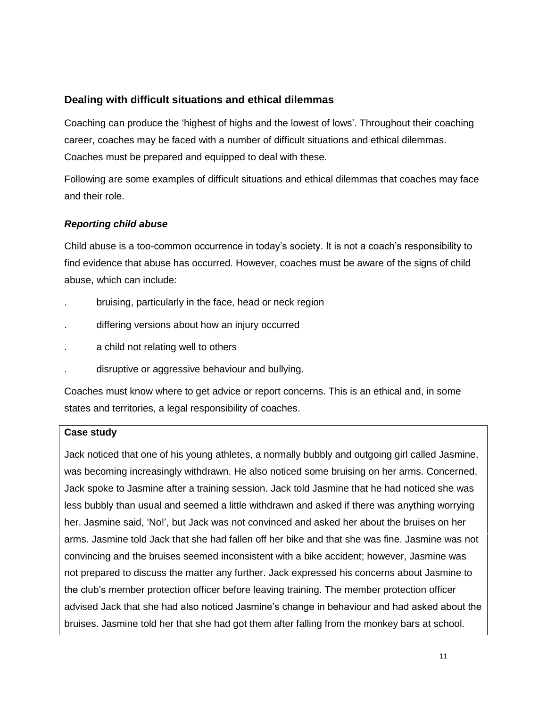# **Dealing with difficult situations and ethical dilemmas**

Coaching can produce the 'highest of highs and the lowest of lows'. Throughout their coaching career, coaches may be faced with a number of difficult situations and ethical dilemmas. Coaches must be prepared and equipped to deal with these.

Following are some examples of difficult situations and ethical dilemmas that coaches may face and their role.

#### *Reporting child abuse*

Child abuse is a too-common occurrence in today's society. It is not a coach's responsibility to find evidence that abuse has occurred. However, coaches must be aware of the signs of child abuse, which can include:

- . bruising, particularly in the face, head or neck region
- differing versions about how an injury occurred
- . a child not relating well to others
- . disruptive or aggressive behaviour and bullying.

Coaches must know where to get advice or report concerns. This is an ethical and, in some states and territories, a legal responsibility of coaches.

#### **Case study**

Jack noticed that one of his young athletes, a normally bubbly and outgoing girl called Jasmine, was becoming increasingly withdrawn. He also noticed some bruising on her arms. Concerned, Jack spoke to Jasmine after a training session. Jack told Jasmine that he had noticed she was less bubbly than usual and seemed a little withdrawn and asked if there was anything worrying her. Jasmine said, 'No!', but Jack was not convinced and asked her about the bruises on her arms. Jasmine told Jack that she had fallen off her bike and that she was fine. Jasmine was not convincing and the bruises seemed inconsistent with a bike accident; however, Jasmine was not prepared to discuss the matter any further. Jack expressed his concerns about Jasmine to the club's member protection officer before leaving training. The member protection officer advised Jack that she had also noticed Jasmine's change in behaviour and had asked about the bruises. Jasmine told her that she had got them after falling from the monkey bars at school.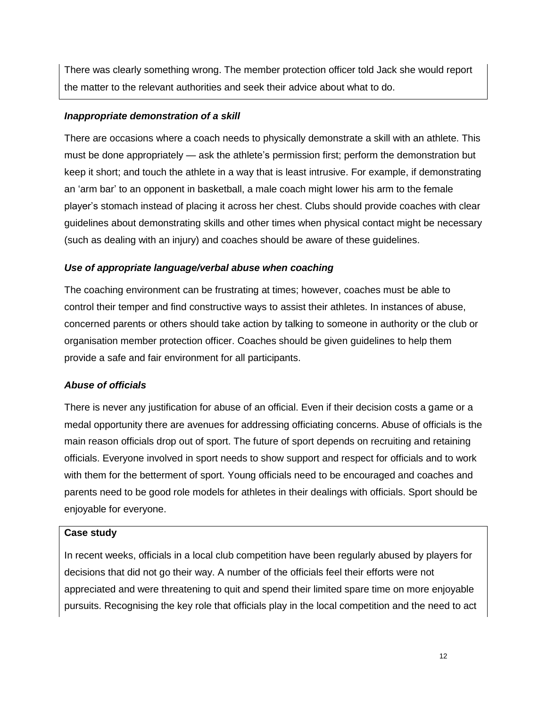There was clearly something wrong. The member protection officer told Jack she would report the matter to the relevant authorities and seek their advice about what to do.

#### *Inappropriate demonstration of a skill*

There are occasions where a coach needs to physically demonstrate a skill with an athlete. This must be done appropriately — ask the athlete's permission first; perform the demonstration but keep it short; and touch the athlete in a way that is least intrusive. For example, if demonstrating an 'arm bar' to an opponent in basketball, a male coach might lower his arm to the female player's stomach instead of placing it across her chest. Clubs should provide coaches with clear guidelines about demonstrating skills and other times when physical contact might be necessary (such as dealing with an injury) and coaches should be aware of these guidelines.

# *Use of appropriate language/verbal abuse when coaching*

The coaching environment can be frustrating at times; however, coaches must be able to control their temper and find constructive ways to assist their athletes. In instances of abuse, concerned parents or others should take action by talking to someone in authority or the club or organisation member protection officer. Coaches should be given guidelines to help them provide a safe and fair environment for all participants.

# *Abuse of officials*

There is never any justification for abuse of an official. Even if their decision costs a game or a medal opportunity there are avenues for addressing officiating concerns. Abuse of officials is the main reason officials drop out of sport. The future of sport depends on recruiting and retaining officials. Everyone involved in sport needs to show support and respect for officials and to work with them for the betterment of sport. Young officials need to be encouraged and coaches and parents need to be good role models for athletes in their dealings with officials. Sport should be enjoyable for everyone.

#### **Case study**

In recent weeks, officials in a local club competition have been regularly abused by players for decisions that did not go their way. A number of the officials feel their efforts were not appreciated and were threatening to quit and spend their limited spare time on more enjoyable pursuits. Recognising the key role that officials play in the local competition and the need to act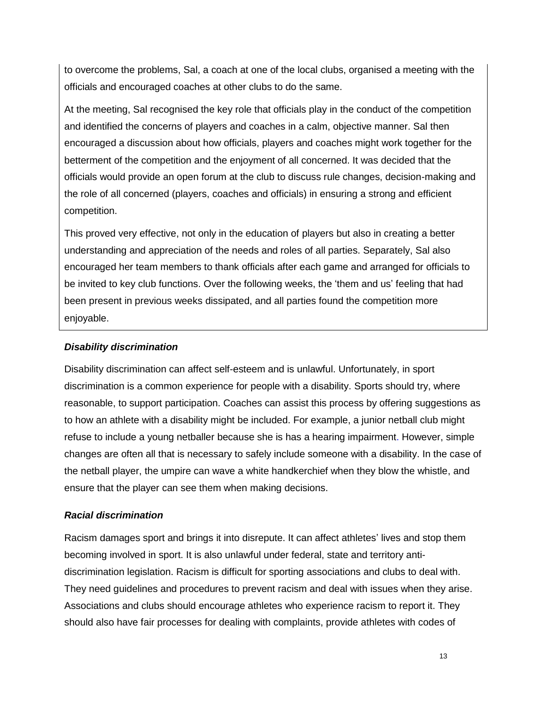to overcome the problems, Sal, a coach at one of the local clubs, organised a meeting with the officials and encouraged coaches at other clubs to do the same.

At the meeting, Sal recognised the key role that officials play in the conduct of the competition and identified the concerns of players and coaches in a calm, objective manner. Sal then encouraged a discussion about how officials, players and coaches might work together for the betterment of the competition and the enjoyment of all concerned. It was decided that the officials would provide an open forum at the club to discuss rule changes, decision-making and the role of all concerned (players, coaches and officials) in ensuring a strong and efficient competition.

This proved very effective, not only in the education of players but also in creating a better understanding and appreciation of the needs and roles of all parties. Separately, Sal also encouraged her team members to thank officials after each game and arranged for officials to be invited to key club functions. Over the following weeks, the 'them and us' feeling that had been present in previous weeks dissipated, and all parties found the competition more enjoyable.

#### *Disability discrimination*

Disability discrimination can affect self-esteem and is unlawful. Unfortunately, in sport discrimination is a common experience for people with a disability. Sports should try, where reasonable, to support participation. Coaches can assist this process by offering suggestions as to how an athlete with a disability might be included. For example, a junior netball club might refuse to include a young netballer because she is has a hearing impairment. However, simple changes are often all that is necessary to safely include someone with a disability. In the case of the netball player, the umpire can wave a white handkerchief when they blow the whistle, and ensure that the player can see them when making decisions.

# *Racial discrimination*

Racism damages sport and brings it into disrepute. It can affect athletes' lives and stop them becoming involved in sport. It is also unlawful under federal, state and territory antidiscrimination legislation. Racism is difficult for sporting associations and clubs to deal with. They need guidelines and procedures to prevent racism and deal with issues when they arise. Associations and clubs should encourage athletes who experience racism to report it. They should also have fair processes for dealing with complaints, provide athletes with codes of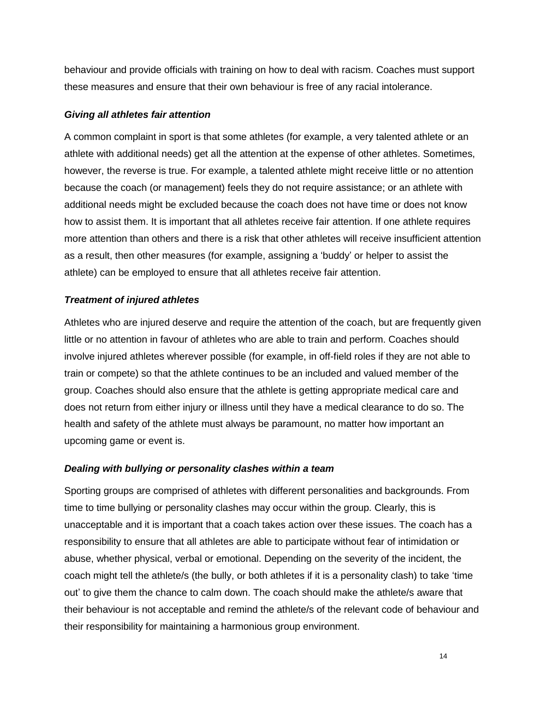behaviour and provide officials with training on how to deal with racism. Coaches must support these measures and ensure that their own behaviour is free of any racial intolerance.

#### *Giving all athletes fair attention*

A common complaint in sport is that some athletes (for example, a very talented athlete or an athlete with additional needs) get all the attention at the expense of other athletes. Sometimes, however, the reverse is true. For example, a talented athlete might receive little or no attention because the coach (or management) feels they do not require assistance; or an athlete with additional needs might be excluded because the coach does not have time or does not know how to assist them. It is important that all athletes receive fair attention. If one athlete requires more attention than others and there is a risk that other athletes will receive insufficient attention as a result, then other measures (for example, assigning a 'buddy' or helper to assist the athlete) can be employed to ensure that all athletes receive fair attention.

#### *Treatment of injured athletes*

Athletes who are injured deserve and require the attention of the coach, but are frequently given little or no attention in favour of athletes who are able to train and perform. Coaches should involve injured athletes wherever possible (for example, in off-field roles if they are not able to train or compete) so that the athlete continues to be an included and valued member of the group. Coaches should also ensure that the athlete is getting appropriate medical care and does not return from either injury or illness until they have a medical clearance to do so. The health and safety of the athlete must always be paramount, no matter how important an upcoming game or event is.

#### *Dealing with bullying or personality clashes within a team*

Sporting groups are comprised of athletes with different personalities and backgrounds. From time to time bullying or personality clashes may occur within the group. Clearly, this is unacceptable and it is important that a coach takes action over these issues. The coach has a responsibility to ensure that all athletes are able to participate without fear of intimidation or abuse, whether physical, verbal or emotional. Depending on the severity of the incident, the coach might tell the athlete/s (the bully, or both athletes if it is a personality clash) to take 'time out' to give them the chance to calm down. The coach should make the athlete/s aware that their behaviour is not acceptable and remind the athlete/s of the relevant code of behaviour and their responsibility for maintaining a harmonious group environment.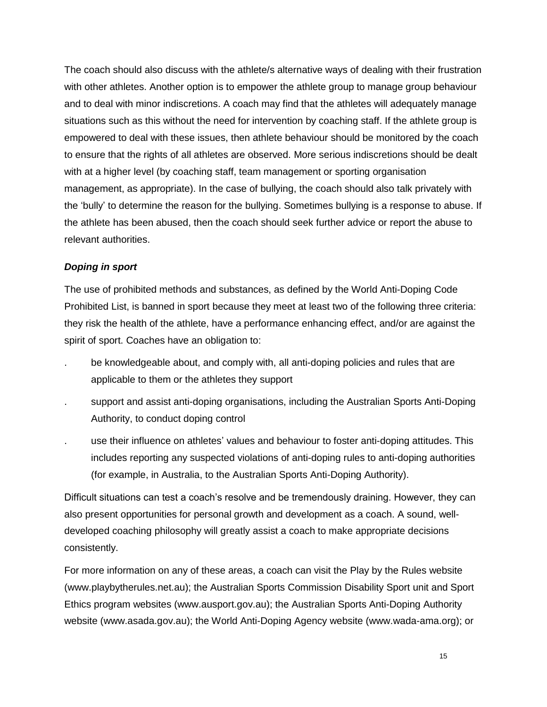The coach should also discuss with the athlete/s alternative ways of dealing with their frustration with other athletes. Another option is to empower the athlete group to manage group behaviour and to deal with minor indiscretions. A coach may find that the athletes will adequately manage situations such as this without the need for intervention by coaching staff. If the athlete group is empowered to deal with these issues, then athlete behaviour should be monitored by the coach to ensure that the rights of all athletes are observed. More serious indiscretions should be dealt with at a higher level (by coaching staff, team management or sporting organisation management, as appropriate). In the case of bullying, the coach should also talk privately with the 'bully' to determine the reason for the bullying. Sometimes bullying is a response to abuse. If the athlete has been abused, then the coach should seek further advice or report the abuse to relevant authorities.

#### *Doping in sport*

The use of prohibited methods and substances, as defined by the World Anti-Doping Code Prohibited List, is banned in sport because they meet at least two of the following three criteria: they risk the health of the athlete, have a performance enhancing effect, and/or are against the spirit of sport. Coaches have an obligation to:

- be knowledgeable about, and comply with, all anti-doping policies and rules that are applicable to them or the athletes they support
- . support and assist anti-doping organisations, including the Australian Sports Anti-Doping Authority, to conduct doping control
- . use their influence on athletes' values and behaviour to foster anti-doping attitudes. This includes reporting any suspected violations of anti-doping rules to anti-doping authorities (for example, in Australia, to the Australian Sports Anti-Doping Authority).

Difficult situations can test a coach's resolve and be tremendously draining. However, they can also present opportunities for personal growth and development as a coach. A sound, welldeveloped coaching philosophy will greatly assist a coach to make appropriate decisions consistently.

For more information on any of these areas, a coach can visit the Play by the Rules website (www.playbytherules.net.au); the Australian Sports Commission Disability Sport unit and Sport Ethics program websites (www.ausport.gov.au); the Australian Sports Anti-Doping Authority website (www.asada.gov.au); the World Anti-Doping Agency website (www.wada-ama.org); or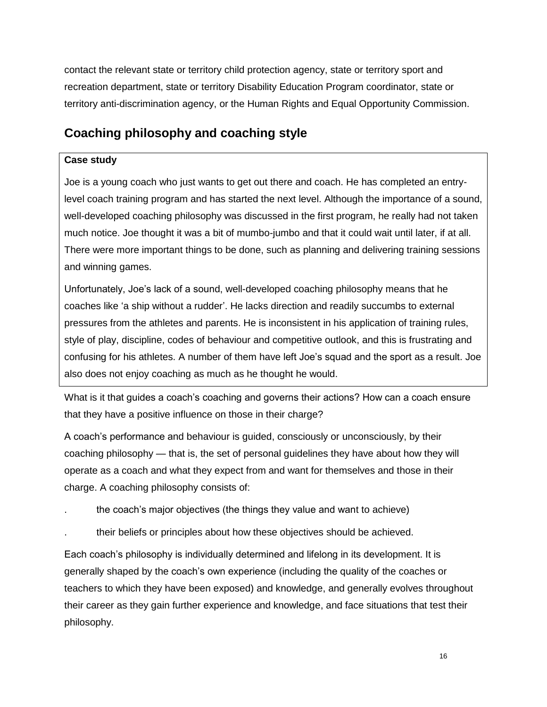contact the relevant state or territory child protection agency, state or territory sport and recreation department, state or territory Disability Education Program coordinator, state or territory anti-discrimination agency, or the Human Rights and Equal Opportunity Commission.

# **Coaching philosophy and coaching style**

# **Case study**

Joe is a young coach who just wants to get out there and coach. He has completed an entrylevel coach training program and has started the next level. Although the importance of a sound, well-developed coaching philosophy was discussed in the first program, he really had not taken much notice. Joe thought it was a bit of mumbo-jumbo and that it could wait until later, if at all. There were more important things to be done, such as planning and delivering training sessions and winning games.

Unfortunately, Joe's lack of a sound, well-developed coaching philosophy means that he coaches like 'a ship without a rudder'. He lacks direction and readily succumbs to external pressures from the athletes and parents. He is inconsistent in his application of training rules, style of play, discipline, codes of behaviour and competitive outlook, and this is frustrating and confusing for his athletes. A number of them have left Joe's squad and the sport as a result. Joe also does not enjoy coaching as much as he thought he would.

What is it that guides a coach's coaching and governs their actions? How can a coach ensure that they have a positive influence on those in their charge?

A coach's performance and behaviour is guided, consciously or unconsciously, by their coaching philosophy — that is, the set of personal guidelines they have about how they will operate as a coach and what they expect from and want for themselves and those in their charge. A coaching philosophy consists of:

- the coach's major objectives (the things they value and want to achieve)
- . their beliefs or principles about how these objectives should be achieved.

Each coach's philosophy is individually determined and lifelong in its development. It is generally shaped by the coach's own experience (including the quality of the coaches or teachers to which they have been exposed) and knowledge, and generally evolves throughout their career as they gain further experience and knowledge, and face situations that test their philosophy.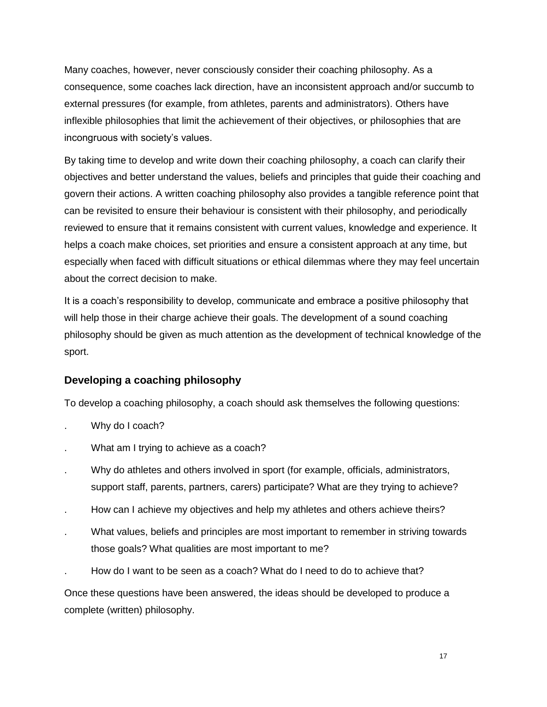Many coaches, however, never consciously consider their coaching philosophy. As a consequence, some coaches lack direction, have an inconsistent approach and/or succumb to external pressures (for example, from athletes, parents and administrators). Others have inflexible philosophies that limit the achievement of their objectives, or philosophies that are incongruous with society's values.

By taking time to develop and write down their coaching philosophy, a coach can clarify their objectives and better understand the values, beliefs and principles that guide their coaching and govern their actions. A written coaching philosophy also provides a tangible reference point that can be revisited to ensure their behaviour is consistent with their philosophy, and periodically reviewed to ensure that it remains consistent with current values, knowledge and experience. It helps a coach make choices, set priorities and ensure a consistent approach at any time, but especially when faced with difficult situations or ethical dilemmas where they may feel uncertain about the correct decision to make.

It is a coach's responsibility to develop, communicate and embrace a positive philosophy that will help those in their charge achieve their goals. The development of a sound coaching philosophy should be given as much attention as the development of technical knowledge of the sport.

# **Developing a coaching philosophy**

To develop a coaching philosophy, a coach should ask themselves the following questions:

- Why do I coach?
- What am I trying to achieve as a coach?
- . Why do athletes and others involved in sport (for example, officials, administrators, support staff, parents, partners, carers) participate? What are they trying to achieve?
- . How can I achieve my objectives and help my athletes and others achieve theirs?
- . What values, beliefs and principles are most important to remember in striving towards those goals? What qualities are most important to me?
- . How do I want to be seen as a coach? What do I need to do to achieve that?

Once these questions have been answered, the ideas should be developed to produce a complete (written) philosophy.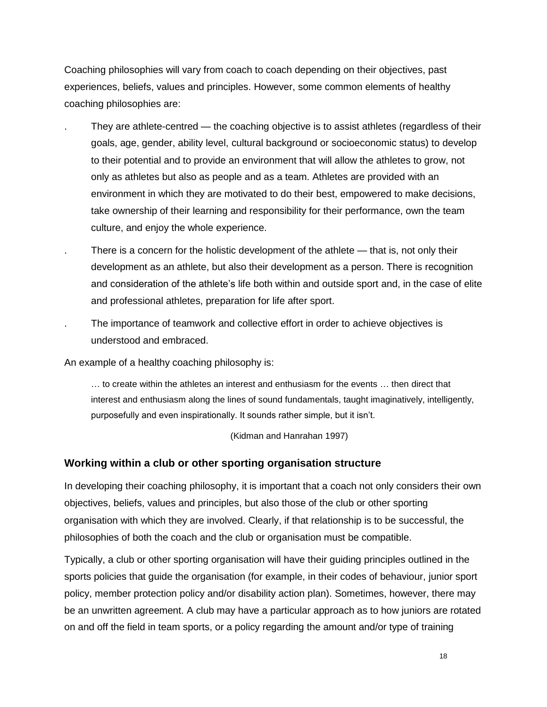Coaching philosophies will vary from coach to coach depending on their objectives, past experiences, beliefs, values and principles. However, some common elements of healthy coaching philosophies are:

- . They are athlete-centred the coaching objective is to assist athletes (regardless of their goals, age, gender, ability level, cultural background or socioeconomic status) to develop to their potential and to provide an environment that will allow the athletes to grow, not only as athletes but also as people and as a team. Athletes are provided with an environment in which they are motivated to do their best, empowered to make decisions, take ownership of their learning and responsibility for their performance, own the team culture, and enjoy the whole experience.
- There is a concern for the holistic development of the athlete that is, not only their development as an athlete, but also their development as a person. There is recognition and consideration of the athlete's life both within and outside sport and, in the case of elite and professional athletes, preparation for life after sport.
- . The importance of teamwork and collective effort in order to achieve objectives is understood and embraced.

An example of a healthy coaching philosophy is:

… to create within the athletes an interest and enthusiasm for the events … then direct that interest and enthusiasm along the lines of sound fundamentals, taught imaginatively, intelligently, purposefully and even inspirationally. It sounds rather simple, but it isn't.

(Kidman and Hanrahan 1997)

#### **Working within a club or other sporting organisation structure**

In developing their coaching philosophy, it is important that a coach not only considers their own objectives, beliefs, values and principles, but also those of the club or other sporting organisation with which they are involved. Clearly, if that relationship is to be successful, the philosophies of both the coach and the club or organisation must be compatible.

Typically, a club or other sporting organisation will have their guiding principles outlined in the sports policies that guide the organisation (for example, in their codes of behaviour, junior sport policy, member protection policy and/or disability action plan). Sometimes, however, there may be an unwritten agreement. A club may have a particular approach as to how juniors are rotated on and off the field in team sports, or a policy regarding the amount and/or type of training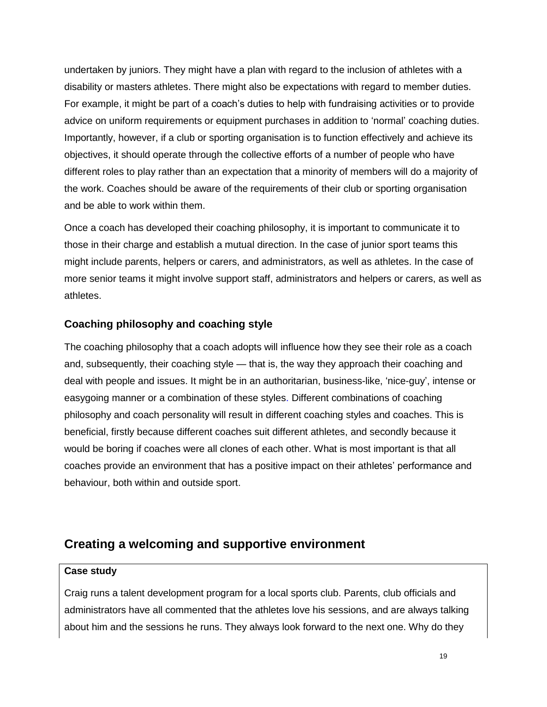undertaken by juniors. They might have a plan with regard to the inclusion of athletes with a disability or masters athletes. There might also be expectations with regard to member duties. For example, it might be part of a coach's duties to help with fundraising activities or to provide advice on uniform requirements or equipment purchases in addition to 'normal' coaching duties. Importantly, however, if a club or sporting organisation is to function effectively and achieve its objectives, it should operate through the collective efforts of a number of people who have different roles to play rather than an expectation that a minority of members will do a majority of the work. Coaches should be aware of the requirements of their club or sporting organisation and be able to work within them.

Once a coach has developed their coaching philosophy, it is important to communicate it to those in their charge and establish a mutual direction. In the case of junior sport teams this might include parents, helpers or carers, and administrators, as well as athletes. In the case of more senior teams it might involve support staff, administrators and helpers or carers, as well as athletes.

# **Coaching philosophy and coaching style**

The coaching philosophy that a coach adopts will influence how they see their role as a coach and, subsequently, their coaching style — that is, the way they approach their coaching and deal with people and issues. It might be in an authoritarian, business-like, 'nice-guy', intense or easygoing manner or a combination of these styles. Different combinations of coaching philosophy and coach personality will result in different coaching styles and coaches. This is beneficial, firstly because different coaches suit different athletes, and secondly because it would be boring if coaches were all clones of each other. What is most important is that all coaches provide an environment that has a positive impact on their athletes' performance and behaviour, both within and outside sport.

# **Creating a welcoming and supportive environment**

#### **Case study**

Craig runs a talent development program for a local sports club. Parents, club officials and administrators have all commented that the athletes love his sessions, and are always talking about him and the sessions he runs. They always look forward to the next one. Why do they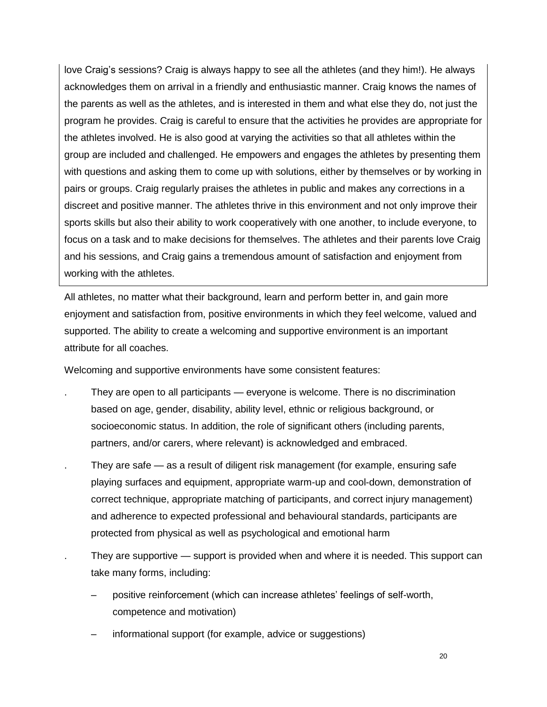love Craig's sessions? Craig is always happy to see all the athletes (and they him!). He always acknowledges them on arrival in a friendly and enthusiastic manner. Craig knows the names of the parents as well as the athletes, and is interested in them and what else they do, not just the program he provides. Craig is careful to ensure that the activities he provides are appropriate for the athletes involved. He is also good at varying the activities so that all athletes within the group are included and challenged. He empowers and engages the athletes by presenting them with questions and asking them to come up with solutions, either by themselves or by working in pairs or groups. Craig regularly praises the athletes in public and makes any corrections in a discreet and positive manner. The athletes thrive in this environment and not only improve their sports skills but also their ability to work cooperatively with one another, to include everyone, to focus on a task and to make decisions for themselves. The athletes and their parents love Craig and his sessions, and Craig gains a tremendous amount of satisfaction and enjoyment from working with the athletes.

All athletes, no matter what their background, learn and perform better in, and gain more enjoyment and satisfaction from, positive environments in which they feel welcome, valued and supported. The ability to create a welcoming and supportive environment is an important attribute for all coaches.

Welcoming and supportive environments have some consistent features:

- They are open to all participants everyone is welcome. There is no discrimination based on age, gender, disability, ability level, ethnic or religious background, or socioeconomic status. In addition, the role of significant others (including parents, partners, and/or carers, where relevant) is acknowledged and embraced.
- . They are safe as a result of diligent risk management (for example, ensuring safe playing surfaces and equipment, appropriate warm-up and cool-down, demonstration of correct technique, appropriate matching of participants, and correct injury management) and adherence to expected professional and behavioural standards, participants are protected from physical as well as psychological and emotional harm
- They are supportive support is provided when and where it is needed. This support can take many forms, including:
	- positive reinforcement (which can increase athletes' feelings of self-worth, competence and motivation)
	- informational support (for example, advice or suggestions)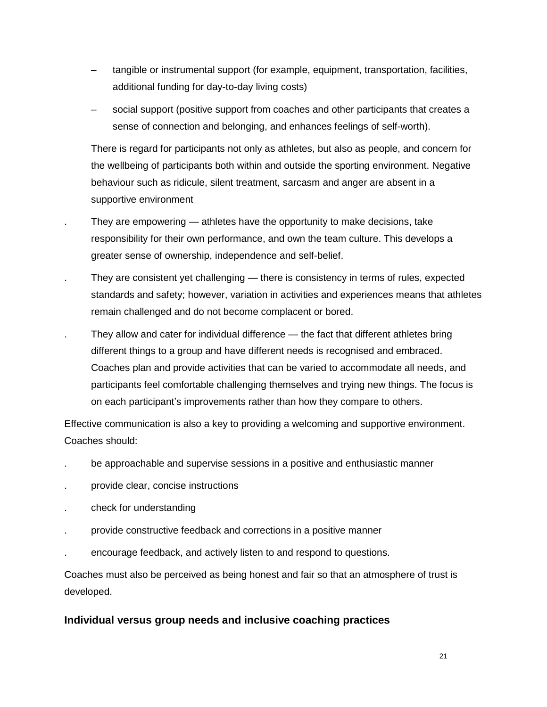- tangible or instrumental support (for example, equipment, transportation, facilities, additional funding for day-to-day living costs)
- social support (positive support from coaches and other participants that creates a sense of connection and belonging, and enhances feelings of self-worth).

There is regard for participants not only as athletes, but also as people, and concern for the wellbeing of participants both within and outside the sporting environment. Negative behaviour such as ridicule, silent treatment, sarcasm and anger are absent in a supportive environment

- . They are empowering athletes have the opportunity to make decisions, take responsibility for their own performance, and own the team culture. This develops a greater sense of ownership, independence and self-belief.
- . They are consistent yet challenging there is consistency in terms of rules, expected standards and safety; however, variation in activities and experiences means that athletes remain challenged and do not become complacent or bored.
- They allow and cater for individual difference the fact that different athletes bring different things to a group and have different needs is recognised and embraced. Coaches plan and provide activities that can be varied to accommodate all needs, and participants feel comfortable challenging themselves and trying new things. The focus is on each participant's improvements rather than how they compare to others.

Effective communication is also a key to providing a welcoming and supportive environment. Coaches should:

- . be approachable and supervise sessions in a positive and enthusiastic manner
- . provide clear, concise instructions
- . check for understanding
- . provide constructive feedback and corrections in a positive manner
- . encourage feedback, and actively listen to and respond to questions.

Coaches must also be perceived as being honest and fair so that an atmosphere of trust is developed.

# **Individual versus group needs and inclusive coaching practices**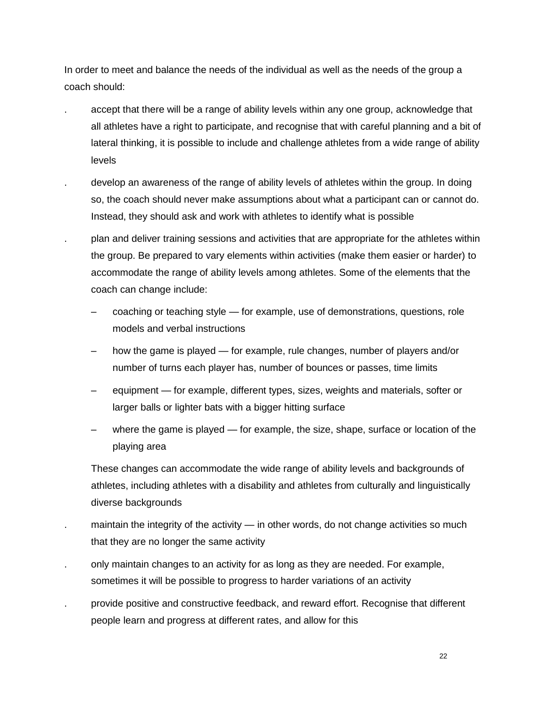In order to meet and balance the needs of the individual as well as the needs of the group a coach should:

- . accept that there will be a range of ability levels within any one group, acknowledge that all athletes have a right to participate, and recognise that with careful planning and a bit of lateral thinking, it is possible to include and challenge athletes from a wide range of ability levels
- . develop an awareness of the range of ability levels of athletes within the group. In doing so, the coach should never make assumptions about what a participant can or cannot do. Instead, they should ask and work with athletes to identify what is possible
- . plan and deliver training sessions and activities that are appropriate for the athletes within the group. Be prepared to vary elements within activities (make them easier or harder) to accommodate the range of ability levels among athletes. Some of the elements that the coach can change include:
	- coaching or teaching style for example, use of demonstrations, questions, role models and verbal instructions
	- how the game is played for example, rule changes, number of players and/or number of turns each player has, number of bounces or passes, time limits
	- equipment for example, different types, sizes, weights and materials, softer or larger balls or lighter bats with a bigger hitting surface
	- where the game is played for example, the size, shape, surface or location of the playing area

These changes can accommodate the wide range of ability levels and backgrounds of athletes, including athletes with a disability and athletes from culturally and linguistically diverse backgrounds

- maintain the integrity of the activity in other words, do not change activities so much that they are no longer the same activity
- . only maintain changes to an activity for as long as they are needed. For example, sometimes it will be possible to progress to harder variations of an activity
- . provide positive and constructive feedback, and reward effort. Recognise that different people learn and progress at different rates, and allow for this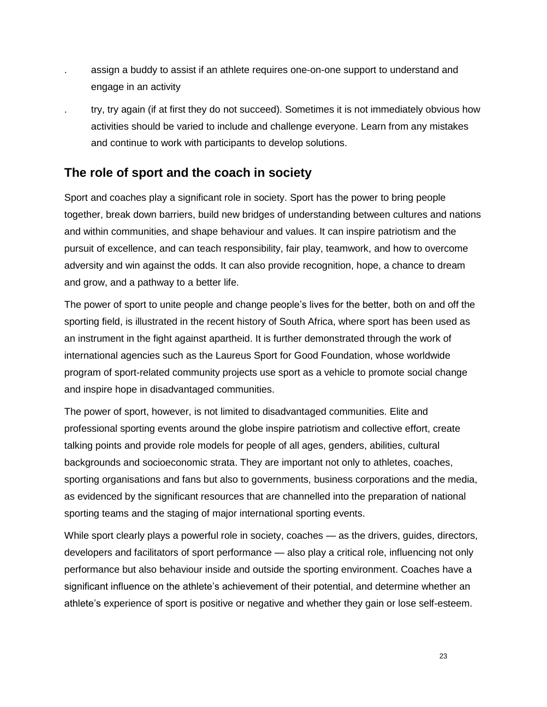- assign a buddy to assist if an athlete requires one-on-one support to understand and engage in an activity
- . try, try again (if at first they do not succeed). Sometimes it is not immediately obvious how activities should be varied to include and challenge everyone. Learn from any mistakes and continue to work with participants to develop solutions.

# **The role of sport and the coach in society**

Sport and coaches play a significant role in society. Sport has the power to bring people together, break down barriers, build new bridges of understanding between cultures and nations and within communities, and shape behaviour and values. It can inspire patriotism and the pursuit of excellence, and can teach responsibility, fair play, teamwork, and how to overcome adversity and win against the odds. It can also provide recognition, hope, a chance to dream and grow, and a pathway to a better life.

The power of sport to unite people and change people's lives for the better, both on and off the sporting field, is illustrated in the recent history of South Africa, where sport has been used as an instrument in the fight against apartheid. It is further demonstrated through the work of international agencies such as the Laureus Sport for Good Foundation, whose worldwide program of sport-related community projects use sport as a vehicle to promote social change and inspire hope in disadvantaged communities.

The power of sport, however, is not limited to disadvantaged communities. Elite and professional sporting events around the globe inspire patriotism and collective effort, create talking points and provide role models for people of all ages, genders, abilities, cultural backgrounds and socioeconomic strata. They are important not only to athletes, coaches, sporting organisations and fans but also to governments, business corporations and the media, as evidenced by the significant resources that are channelled into the preparation of national sporting teams and the staging of major international sporting events.

While sport clearly plays a powerful role in society, coaches — as the drivers, quides, directors, developers and facilitators of sport performance — also play a critical role, influencing not only performance but also behaviour inside and outside the sporting environment. Coaches have a significant influence on the athlete's achievement of their potential, and determine whether an athlete's experience of sport is positive or negative and whether they gain or lose self-esteem.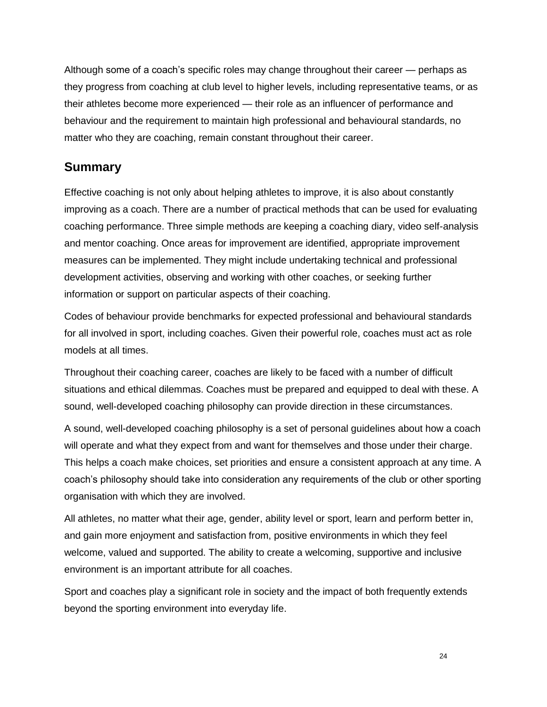Although some of a coach's specific roles may change throughout their career — perhaps as they progress from coaching at club level to higher levels, including representative teams, or as their athletes become more experienced — their role as an influencer of performance and behaviour and the requirement to maintain high professional and behavioural standards, no matter who they are coaching, remain constant throughout their career.

# **Summary**

Effective coaching is not only about helping athletes to improve, it is also about constantly improving as a coach. There are a number of practical methods that can be used for evaluating coaching performance. Three simple methods are keeping a coaching diary, video self-analysis and mentor coaching. Once areas for improvement are identified, appropriate improvement measures can be implemented. They might include undertaking technical and professional development activities, observing and working with other coaches, or seeking further information or support on particular aspects of their coaching.

Codes of behaviour provide benchmarks for expected professional and behavioural standards for all involved in sport, including coaches. Given their powerful role, coaches must act as role models at all times.

Throughout their coaching career, coaches are likely to be faced with a number of difficult situations and ethical dilemmas. Coaches must be prepared and equipped to deal with these. A sound, well-developed coaching philosophy can provide direction in these circumstances.

A sound, well-developed coaching philosophy is a set of personal guidelines about how a coach will operate and what they expect from and want for themselves and those under their charge. This helps a coach make choices, set priorities and ensure a consistent approach at any time. A coach's philosophy should take into consideration any requirements of the club or other sporting organisation with which they are involved.

All athletes, no matter what their age, gender, ability level or sport, learn and perform better in, and gain more enjoyment and satisfaction from, positive environments in which they feel welcome, valued and supported. The ability to create a welcoming, supportive and inclusive environment is an important attribute for all coaches.

Sport and coaches play a significant role in society and the impact of both frequently extends beyond the sporting environment into everyday life.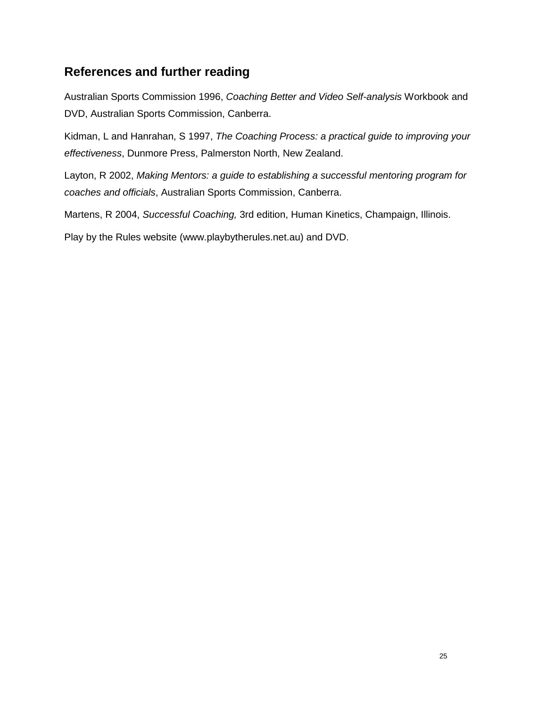# **References and further reading**

Australian Sports Commission 1996, *Coaching Better and Video Self-analysis* Workbook and DVD, Australian Sports Commission, Canberra.

Kidman, L and Hanrahan, S 1997, *The Coaching Process: a practical guide to improving your effectiveness*, Dunmore Press, Palmerston North, New Zealand.

Layton, R 2002, *Making Mentors: a guide to establishing a successful mentoring program for coaches and officials*, Australian Sports Commission, Canberra.

Martens, R 2004, *Successful Coaching,* 3rd edition, Human Kinetics, Champaign, Illinois.

Play by the Rules website (www.playbytherules.net.au) and DVD.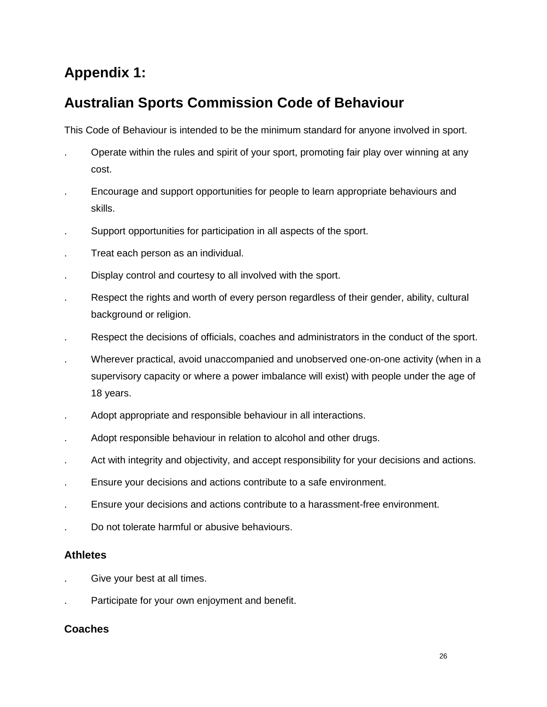# **Appendix 1:**

# **Australian Sports Commission Code of Behaviour**

This Code of Behaviour is intended to be the minimum standard for anyone involved in sport.

- . Operate within the rules and spirit of your sport, promoting fair play over winning at any cost.
- . Encourage and support opportunities for people to learn appropriate behaviours and skills.
- . Support opportunities for participation in all aspects of the sport.
- . Treat each person as an individual.
- . Display control and courtesy to all involved with the sport.
- . Respect the rights and worth of every person regardless of their gender, ability, cultural background or religion.
- . Respect the decisions of officials, coaches and administrators in the conduct of the sport.
- . Wherever practical, avoid unaccompanied and unobserved one-on-one activity (when in a supervisory capacity or where a power imbalance will exist) with people under the age of 18 years.
- . Adopt appropriate and responsible behaviour in all interactions.
- . Adopt responsible behaviour in relation to alcohol and other drugs.
- Act with integrity and objectivity, and accept responsibility for your decisions and actions.
- . Ensure your decisions and actions contribute to a safe environment.
- . Ensure your decisions and actions contribute to a harassment-free environment.
- . Do not tolerate harmful or abusive behaviours.

# **Athletes**

- . Give your best at all times.
- Participate for your own enjoyment and benefit.

# **Coaches**